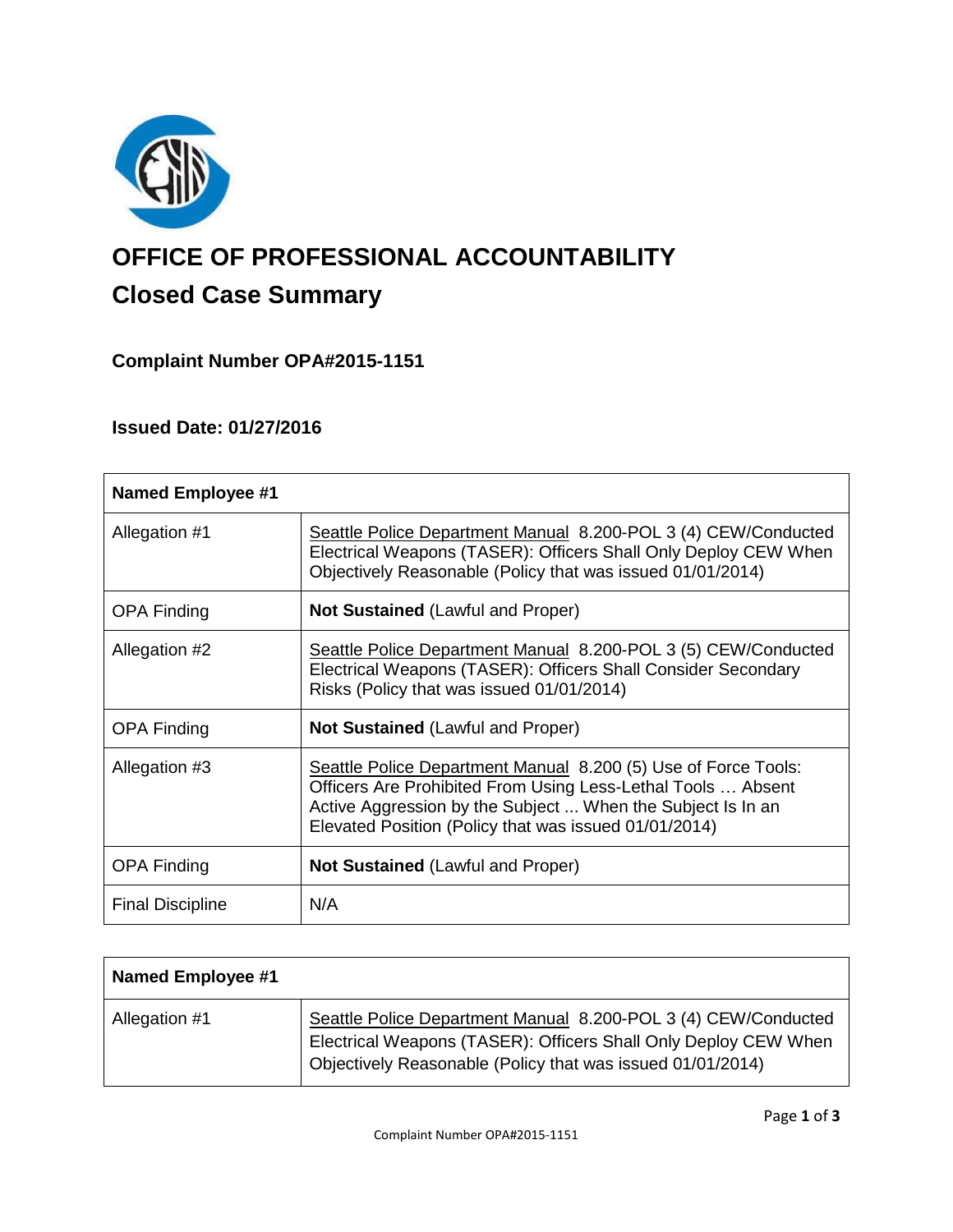

# **OFFICE OF PROFESSIONAL ACCOUNTABILITY Closed Case Summary**

# **Complaint Number OPA#2015-1151**

# **Issued Date: 01/27/2016**

| <b>Named Employee #1</b> |                                                                                                                                                                                                                                                        |
|--------------------------|--------------------------------------------------------------------------------------------------------------------------------------------------------------------------------------------------------------------------------------------------------|
| Allegation #1            | Seattle Police Department Manual 8.200-POL 3 (4) CEW/Conducted<br>Electrical Weapons (TASER): Officers Shall Only Deploy CEW When<br>Objectively Reasonable (Policy that was issued 01/01/2014)                                                        |
| <b>OPA Finding</b>       | <b>Not Sustained (Lawful and Proper)</b>                                                                                                                                                                                                               |
| Allegation #2            | Seattle Police Department Manual 8.200-POL 3 (5) CEW/Conducted<br>Electrical Weapons (TASER): Officers Shall Consider Secondary<br>Risks (Policy that was issued 01/01/2014)                                                                           |
| <b>OPA Finding</b>       | <b>Not Sustained (Lawful and Proper)</b>                                                                                                                                                                                                               |
| Allegation #3            | Seattle Police Department Manual 8.200 (5) Use of Force Tools:<br>Officers Are Prohibited From Using Less-Lethal Tools  Absent<br>Active Aggression by the Subject  When the Subject Is In an<br>Elevated Position (Policy that was issued 01/01/2014) |
| <b>OPA Finding</b>       | <b>Not Sustained (Lawful and Proper)</b>                                                                                                                                                                                                               |
| <b>Final Discipline</b>  | N/A                                                                                                                                                                                                                                                    |

| Named Employee #1 |                                                                                                                                                                                                 |
|-------------------|-------------------------------------------------------------------------------------------------------------------------------------------------------------------------------------------------|
| Allegation #1     | Seattle Police Department Manual 8.200-POL 3 (4) CEW/Conducted<br>Electrical Weapons (TASER): Officers Shall Only Deploy CEW When<br>Objectively Reasonable (Policy that was issued 01/01/2014) |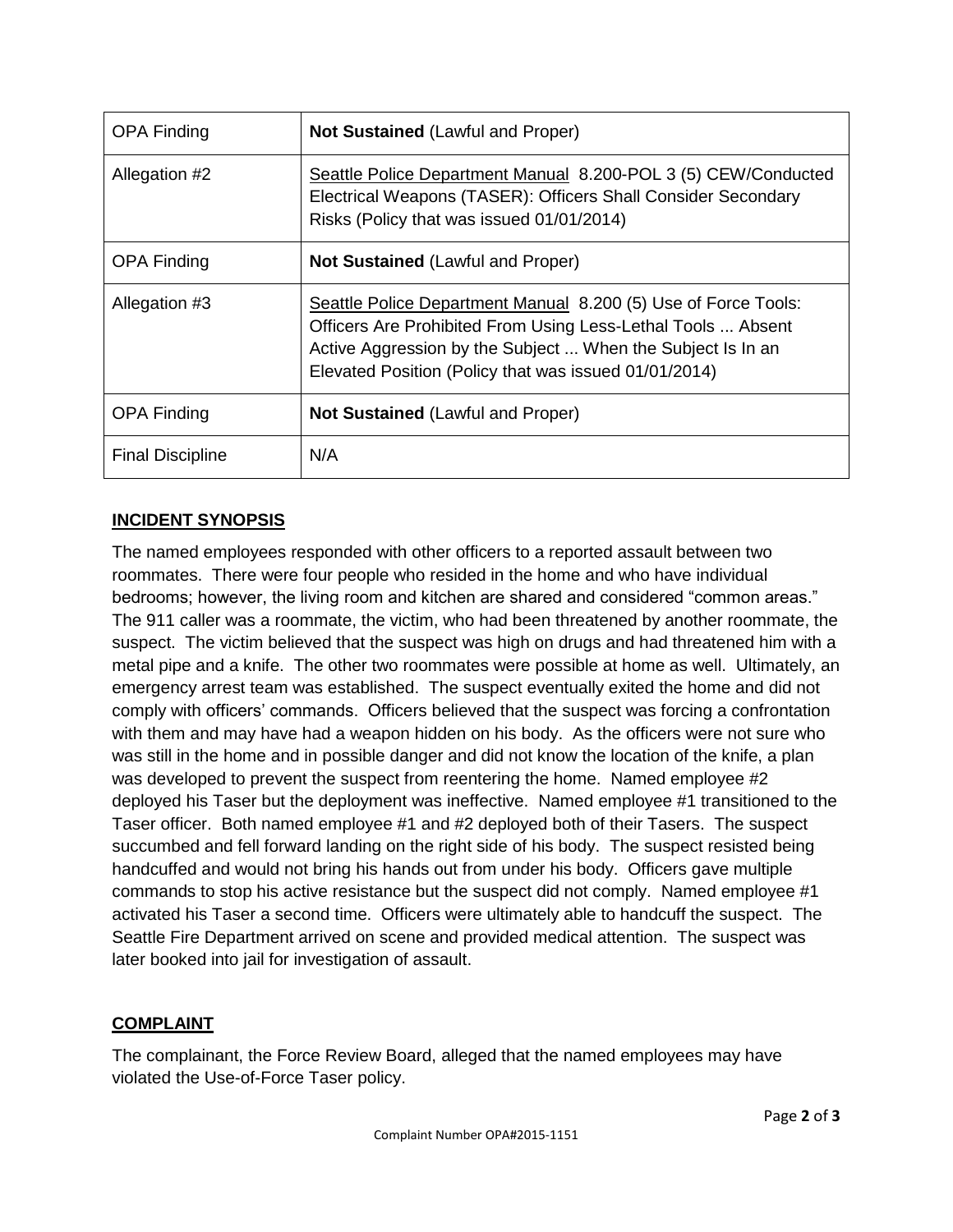| <b>OPA Finding</b>      | <b>Not Sustained (Lawful and Proper)</b>                                                                                                                                                                                                               |
|-------------------------|--------------------------------------------------------------------------------------------------------------------------------------------------------------------------------------------------------------------------------------------------------|
| Allegation #2           | Seattle Police Department Manual 8.200-POL 3 (5) CEW/Conducted<br>Electrical Weapons (TASER): Officers Shall Consider Secondary<br>Risks (Policy that was issued 01/01/2014)                                                                           |
| <b>OPA Finding</b>      | <b>Not Sustained (Lawful and Proper)</b>                                                                                                                                                                                                               |
| Allegation #3           | Seattle Police Department Manual 8.200 (5) Use of Force Tools:<br>Officers Are Prohibited From Using Less-Lethal Tools  Absent<br>Active Aggression by the Subject  When the Subject Is In an<br>Elevated Position (Policy that was issued 01/01/2014) |
| <b>OPA Finding</b>      | <b>Not Sustained (Lawful and Proper)</b>                                                                                                                                                                                                               |
| <b>Final Discipline</b> | N/A                                                                                                                                                                                                                                                    |

# **INCIDENT SYNOPSIS**

The named employees responded with other officers to a reported assault between two roommates. There were four people who resided in the home and who have individual bedrooms; however, the living room and kitchen are shared and considered "common areas." The 911 caller was a roommate, the victim, who had been threatened by another roommate, the suspect. The victim believed that the suspect was high on drugs and had threatened him with a metal pipe and a knife. The other two roommates were possible at home as well. Ultimately, an emergency arrest team was established. The suspect eventually exited the home and did not comply with officers' commands. Officers believed that the suspect was forcing a confrontation with them and may have had a weapon hidden on his body. As the officers were not sure who was still in the home and in possible danger and did not know the location of the knife, a plan was developed to prevent the suspect from reentering the home. Named employee #2 deployed his Taser but the deployment was ineffective. Named employee #1 transitioned to the Taser officer. Both named employee #1 and #2 deployed both of their Tasers. The suspect succumbed and fell forward landing on the right side of his body. The suspect resisted being handcuffed and would not bring his hands out from under his body. Officers gave multiple commands to stop his active resistance but the suspect did not comply. Named employee #1 activated his Taser a second time. Officers were ultimately able to handcuff the suspect. The Seattle Fire Department arrived on scene and provided medical attention. The suspect was later booked into jail for investigation of assault.

# **COMPLAINT**

The complainant, the Force Review Board, alleged that the named employees may have violated the Use-of-Force Taser policy.